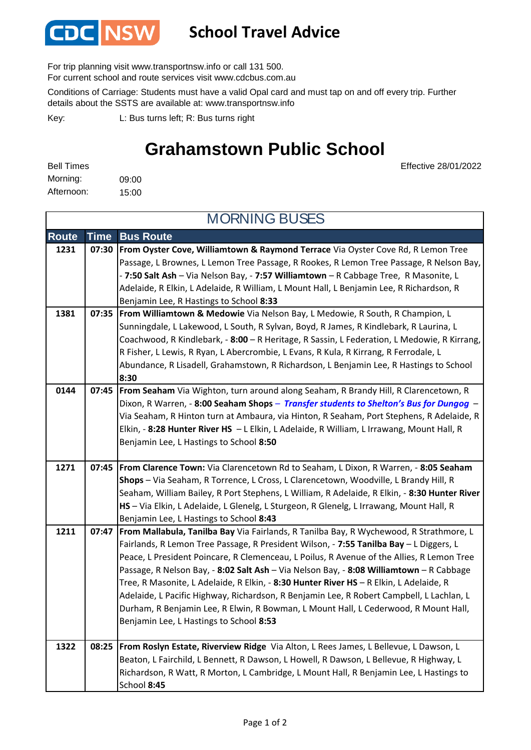

## **School Travel Advice**

For trip planning visit www.transportnsw.info or call 131 500.

For current school and route services visit www.cdcbus.com.au

Conditions of Carriage: Students must have a valid Opal card and must tap on and off every trip. Further details about the SSTS are available at: www.transportnsw.info

L: Bus turns left; R: Bus turns right Key:

## **Grahamstown Public School**

Effective 28/01/2022

09:00 15:00 Afternoon: Bell Times Morning:

**Route Time Bus Route 1231 07:30 From Oyster Cove, Williamtown & Raymond Terrace** Via Oyster Cove Rd, R Lemon Tree Passage, L Brownes, L Lemon Tree Passage, R Rookes, R Lemon Tree Passage, R Nelson Bay, - **7:50 Salt Ash** – Via Nelson Bay, - **7:57 Williamtown** – R Cabbage Tree, R Masonite, L Adelaide, R Elkin, L Adelaide, R William, L Mount Hall, L Benjamin Lee, R Richardson, R Benjamin Lee, R Hastings to School **8:33 1381 07:35 From Williamtown & Medowie** Via Nelson Bay, L Medowie, R South, R Champion, L Sunningdale, L Lakewood, L South, R Sylvan, Boyd, R James, R Kindlebark, R Laurina, L Coachwood, R Kindlebark, - **8:00** – R Heritage, R Sassin, L Federation, L Medowie, R Kirrang, R Fisher, L Lewis, R Ryan, L Abercrombie, L Evans, R Kula, R Kirrang, R Ferrodale, L Abundance, R Lisadell, Grahamstown, R Richardson, L Benjamin Lee, R Hastings to School **8:30 0144 07:45 From Seaham** Via Wighton, turn around along Seaham, R Brandy Hill, R Clarencetown, R Dixon, R Warren, - **8:00 Seaham Shops** *– Transfer students to Shelton's Bus for Dungog* – Via Seaham, R Hinton turn at Ambaura, via Hinton, R Seaham, Port Stephens, R Adelaide, R Elkin, - **8:28 Hunter River HS** – L Elkin, L Adelaide, R William, L Irrawang, Mount Hall, R Benjamin Lee, L Hastings to School **8:50 1271 07:45 From Clarence Town:** Via Clarencetown Rd to Seaham, L Dixon, R Warren, - **8:05 Seaham Shops** – Via Seaham, R Torrence, L Cross, L Clarencetown, Woodville, L Brandy Hill, R Seaham, William Bailey, R Port Stephens, L William, R Adelaide, R Elkin, - **8:30 Hunter River HS** – Via Elkin, L Adelaide, L Glenelg, L Sturgeon, R Glenelg, L Irrawang, Mount Hall, R Benjamin Lee, L Hastings to School **8:43 1211 07:47 From Mallabula, Tanilba Bay** Via Fairlands, R Tanilba Bay, R Wychewood, R Strathmore, L Fairlands, R Lemon Tree Passage, R President Wilson, - **7:55 Tanilba Bay** – L Diggers, L Peace, L President Poincare, R Clemenceau, L Poilus, R Avenue of the Allies, R Lemon Tree Passage, R Nelson Bay, - **8:02 Salt Ash** – Via Nelson Bay, - **8:08 Williamtown** – R Cabbage Tree, R Masonite, L Adelaide, R Elkin, - **8:30 Hunter River HS** – R Elkin, L Adelaide, R Adelaide, L Pacific Highway, Richardson, R Benjamin Lee, R Robert Campbell, L Lachlan, L Durham, R Benjamin Lee, R Elwin, R Bowman, L Mount Hall, L Cederwood, R Mount Hall, Benjamin Lee, L Hastings to School **8:53 1322 08:25 From Roslyn Estate, Riverview Ridge** Via Alton, L Rees James, L Bellevue, L Dawson, L Beaton, L Fairchild, L Bennett, R Dawson, L Howell, R Dawson, L Bellevue, R Highway, L Richardson, R Watt, R Morton, L Cambridge, L Mount Hall, R Benjamin Lee, L Hastings to School **8:45** MORNING BUSES